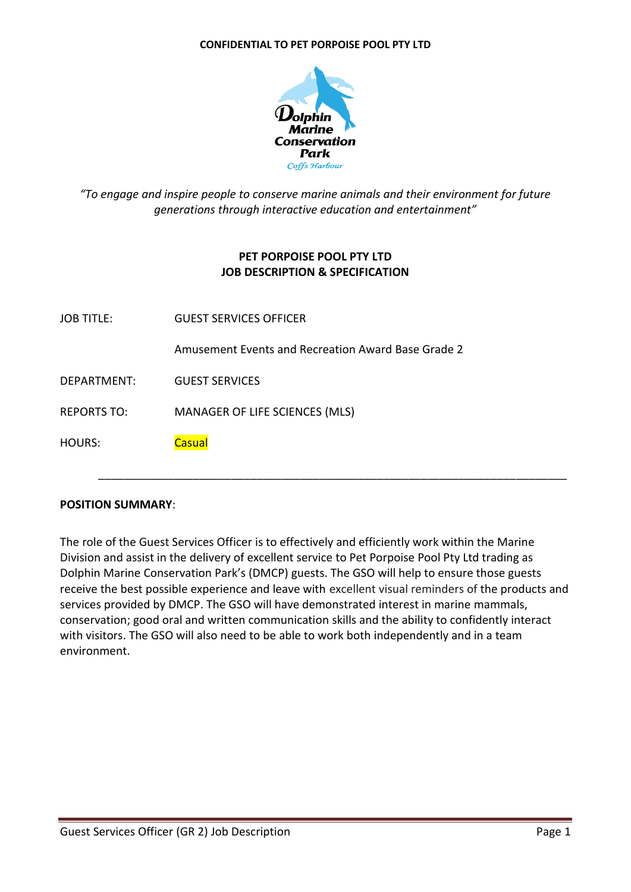#### **CONFIDENTIAL TO PET PORPOISE POOL PTY LTD**



# *"To engage and inspire people to conserve marine animals and their environment for future generations through interactive education and entertainment"*

# **PET PORPOISE POOL PTY LTD JOB DESCRIPTION & SPECIFICATION**

| <b>JOB TITLE:</b>  | <b>GUEST SERVICES OFFICER</b>                      |
|--------------------|----------------------------------------------------|
|                    | Amusement Events and Recreation Award Base Grade 2 |
| DEPARTMENT:        | <b>GUEST SERVICES</b>                              |
| <b>REPORTS TO:</b> | MANAGER OF LIFE SCIENCES (MLS)                     |
| <b>HOURS:</b>      | <b>Casual</b>                                      |
|                    |                                                    |

### **POSITION SUMMARY**:

The role of the Guest Services Officer is to effectively and efficiently work within the Marine Division and assist in the delivery of excellent service to Pet Porpoise Pool Pty Ltd trading as Dolphin Marine Conservation Park's (DMCP) guests. The GSO will help to ensure those guests receive the best possible experience and leave with excellent visual reminders of the products and services provided by DMCP. The GSO will have demonstrated interest in marine mammals, conservation; good oral and written communication skills and the ability to confidently interact with visitors. The GSO will also need to be able to work both independently and in a team environment.

\_\_\_\_\_\_\_\_\_\_\_\_\_\_\_\_\_\_\_\_\_\_\_\_\_\_\_\_\_\_\_\_\_\_\_\_\_\_\_\_\_\_\_\_\_\_\_\_\_\_\_\_\_\_\_\_\_\_\_\_\_\_\_\_\_\_\_\_\_\_\_\_\_\_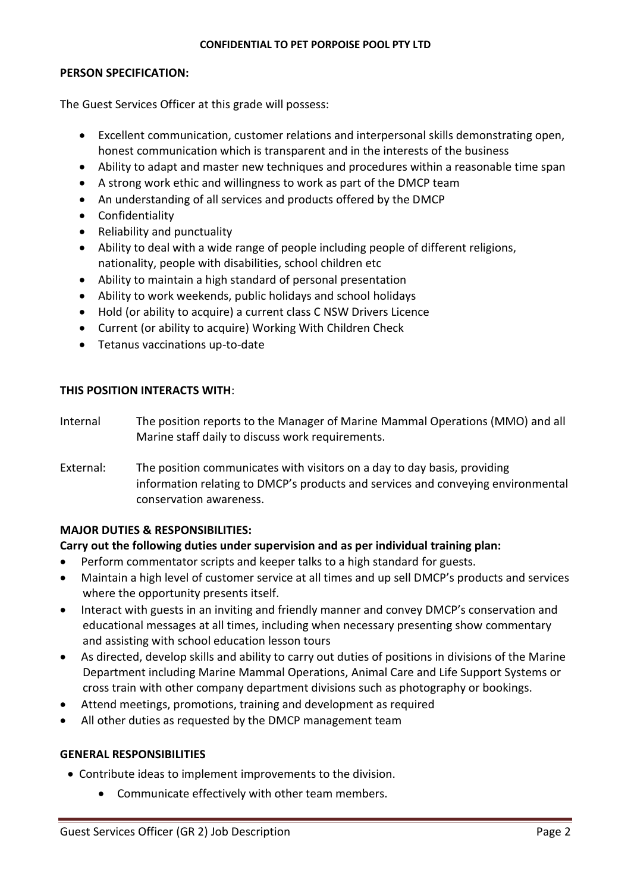#### **CONFIDENTIAL TO PET PORPOISE POOL PTY LTD**

#### **PERSON SPECIFICATION:**

The Guest Services Officer at this grade will possess:

- Excellent communication, customer relations and interpersonal skills demonstrating open, honest communication which is transparent and in the interests of the business
- Ability to adapt and master new techniques and procedures within a reasonable time span
- A strong work ethic and willingness to work as part of the DMCP team
- An understanding of all services and products offered by the DMCP
- Confidentiality
- Reliability and punctuality
- Ability to deal with a wide range of people including people of different religions, nationality, people with disabilities, school children etc
- Ability to maintain a high standard of personal presentation
- Ability to work weekends, public holidays and school holidays
- Hold (or ability to acquire) a current class C NSW Drivers Licence
- Current (or ability to acquire) Working With Children Check
- Tetanus vaccinations up-to-date

## **THIS POSITION INTERACTS WITH**:

- Internal The position reports to the Manager of Marine Mammal Operations (MMO) and all Marine staff daily to discuss work requirements.
- External: The position communicates with visitors on a day to day basis, providing information relating to DMCP's products and services and conveying environmental conservation awareness.

# **MAJOR DUTIES & RESPONSIBILITIES:**

# **Carry out the following duties under supervision and as per individual training plan:**

- Perform commentator scripts and keeper talks to a high standard for guests.
- Maintain a high level of customer service at all times and up sell DMCP's products and services where the opportunity presents itself.
- Interact with guests in an inviting and friendly manner and convey DMCP's conservation and educational messages at all times, including when necessary presenting show commentary and assisting with school education lesson tours
- As directed, develop skills and ability to carry out duties of positions in divisions of the Marine Department including Marine Mammal Operations, Animal Care and Life Support Systems or cross train with other company department divisions such as photography or bookings.
- Attend meetings, promotions, training and development as required
- All other duties as requested by the DMCP management team

### **GENERAL RESPONSIBILITIES**

- Contribute ideas to implement improvements to the division.
	- Communicate effectively with other team members.